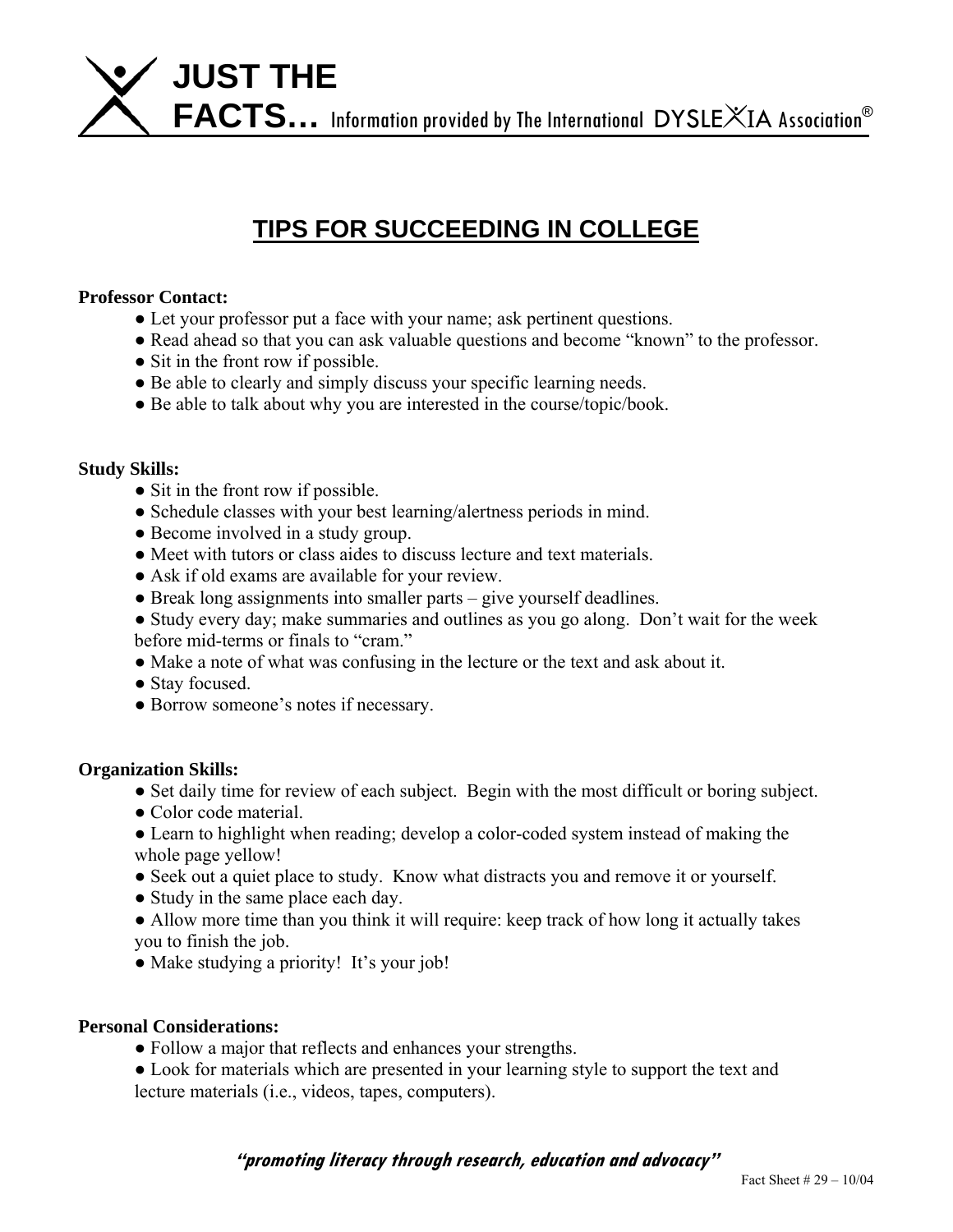

# **TIPS FOR SUCCEEDING IN COLLEGE**

## **Professor Contact:**

- Let your professor put a face with your name; ask pertinent questions.
- Read ahead so that you can ask valuable questions and become "known" to the professor.
- Sit in the front row if possible.
- Be able to clearly and simply discuss your specific learning needs.
- Be able to talk about why you are interested in the course/topic/book.

### **Study Skills:**

- Sit in the front row if possible.
- Schedule classes with your best learning/alertness periods in mind.
- Become involved in a study group.
- Meet with tutors or class aides to discuss lecture and text materials.
- Ask if old exams are available for your review.
- Break long assignments into smaller parts give yourself deadlines.
- Study every day; make summaries and outlines as you go along. Don't wait for the week before mid-terms or finals to "cram."
- Make a note of what was confusing in the lecture or the text and ask about it.
- Stay focused.
- Borrow someone's notes if necessary.

### **Organization Skills:**

- Set daily time for review of each subject. Begin with the most difficult or boring subject.
- Color code material.
- Learn to highlight when reading; develop a color-coded system instead of making the whole page yellow!
- Seek out a quiet place to study. Know what distracts you and remove it or yourself.
- Study in the same place each day.
- Allow more time than you think it will require: keep track of how long it actually takes you to finish the job.
- Make studying a priority! It's your job!

### **Personal Considerations:**

- Follow a major that reflects and enhances your strengths.
- Look for materials which are presented in your learning style to support the text and lecture materials (i.e., videos, tapes, computers).

**"promoting literacy through research, education and advocacy"**